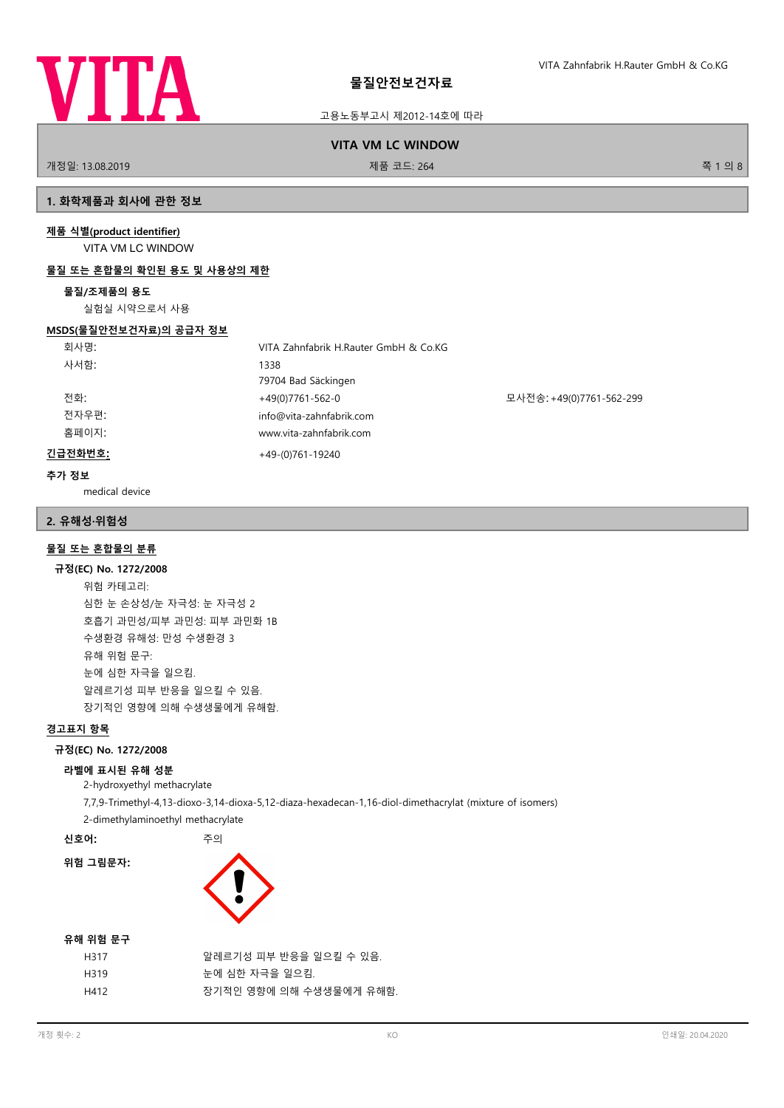

고용노동부고시 제2012-14호에 따라

# **VITA VM LC WINDOW**

개정일: 13.08.2019 제품 코드: 264 쪽 1 의 8

# **1. 화학제품과 회사에 관한 정보**

### **제품 식별(product identifier)**

VITA VM LC WINDOW

### **물질 또는 혼합물의 확인된 용도 및 사용상의 제한**

### **물질/조제품의 용도**

실험실 시약으로서 사용

### **MSDS(물질안전보건자료)의 공급자 정보**

| 회사명:    | VITA Zahnfabrik H.Rauter GmbH & Co.KG |                          |
|---------|---------------------------------------|--------------------------|
| 사서함:    | 1338                                  |                          |
|         | 79704 Bad Säckingen                   |                          |
| 전화:     | +49(0)7761-562-0                      | 모사전송: +49(0)7761-562-299 |
| 전자우편:   | info@vita-zahnfabrik.com              |                          |
| 홈페이지:   | www.vita-zahnfabrik.com               |                          |
| 긴급전화번호: | $+49-(0)761-19240$                    |                          |

#### **추가 정보**

medical device

### **2. 유해성·위험성**

### **물질 또는 혼합물의 분류**

#### **규정(EC) No. 1272/2008**

위험 카테고리: 심한 눈 손상성/눈 자극성: 눈 자극성 2 호흡기 과민성/피부 과민성: 피부 과민화 1B 수생환경 유해성: 만성 수생환경 3 유해 위험 문구: 눈에 심한 자극을 일으킴. 알레르기성 피부 반응을 일으킬 수 있음. 장기적인 영향에 의해 수생생물에게 유해함.

### **경고표지 항목**

### **규정(EC) No. 1272/2008**

### **라벨에 표시된 유해 성분**

2-hydroxyethyl methacrylate

7,7,9-Trimethyl-4,13-dioxo-3,14-dioxa-5,12-diaza-hexadecan-1,16-diol-dimethacrylat (mixture of isomers)

2-dimethylaminoethyl methacrylate

**신호어:** 주의

**위험 그림문자:**



### **유해 위험 문구**

| H317 | 알레르기성 피부 반응을 일으킬 수 있음.  |
|------|-------------------------|
| H319 | 눈에 심한 자극을 일으킴.          |
| H412 | 장기적인 영향에 의해 수생생물에게 유해함. |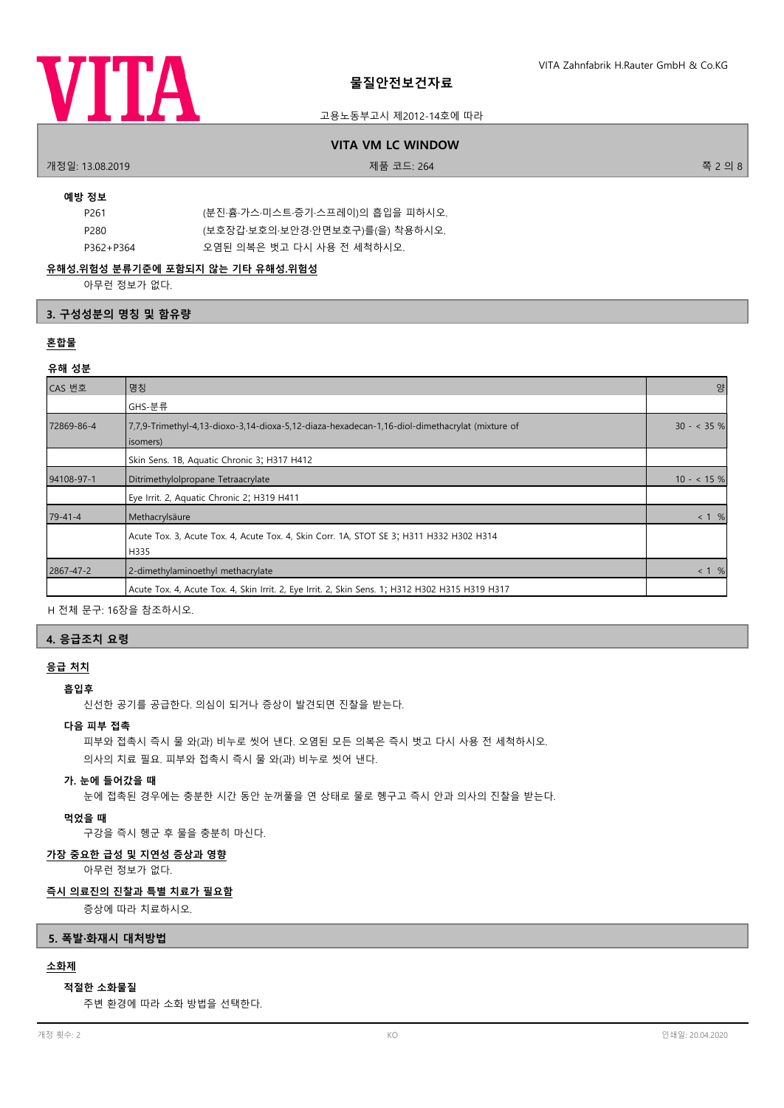

### 고용노동부고시 제2012-14호에 따라

### **VITA VM LC WINDOW**

개정일: 13.08.2019 제품 코드: 264 쪽 2 의 8

### **예방 정보**

| P261      | (분진·흄·가스·미스트·증기·스프레이)의 흡입을 피하시오. |
|-----------|----------------------------------|
| P280      | (보호장갑 보호의 보안경 안면보호구)를(을) 착용하시오.  |
| P362+P364 | 오염된 의복은 벗고 다시 사용 전 세척하시오.        |

### **유해성.위험성 분류기준에 포함되지 않는 기타 유해성.위험성**

아무런 정보가 없다.

### **3. 구성성분의 명칭 및 함유량**

### **혼합물**

### **유해 성분**

| CAS 번호        | 명칭                                                                                                          | 양            |
|---------------|-------------------------------------------------------------------------------------------------------------|--------------|
|               | GHS-분류                                                                                                      |              |
| 72869-86-4    | 7,7,9-Trimethyl-4,13-dioxo-3,14-dioxa-5,12-diaza-hexadecan-1,16-diol-dimethacrylat (mixture of<br>(isomers) | $30 - 35 \%$ |
|               | Skin Sens. 1B, Aquatic Chronic 3; H317 H412                                                                 |              |
| 94108-97-1    | Ditrimethylolpropane Tetraacrylate                                                                          | $10 - 15 \%$ |
|               | Eye Irrit. 2, Aquatic Chronic 2; H319 H411                                                                  |              |
| $79 - 41 - 4$ | Methacrylsäure                                                                                              | < 1 %        |
|               | Acute Tox. 3, Acute Tox. 4, Acute Tox. 4, Skin Corr. 1A, STOT SE 3; H311 H332 H302 H314<br>H335             |              |
| 2867-47-2     | 2-dimethylaminoethyl methacrylate                                                                           | < 1 %        |
|               | Acute Tox. 4, Acute Tox. 4, Skin Irrit. 2, Eye Irrit. 2, Skin Sens. 1; H312 H302 H315 H319 H317             |              |

H 전체 문구: 16장을 참조하시오.

### **4. 응급조치 요령**

# **응급 처치**

# **흡입후**

신선한 공기를 공급한다. 의심이 되거나 증상이 발견되면 진찰을 받는다.

### **다음 피부 접촉**

피부와 접촉시 즉시 물 와(과) 비누로 씻어 낸다. 오염된 모든 의복은 즉시 벗고 다시 사용 전 세척하시오. 의사의 치료 필요. 피부와 접촉시 즉시 물 와(과) 비누로 씻어 낸다.

### **가. 눈에 들어갔을 때**

눈에 접촉된 경우에는 충분한 시간 동안 눈꺼풀을 연 상태로 물로 헹구고 즉시 안과 의사의 진찰을 받는다.

### **먹었을 때**

구강을 즉시 헹군 후 물을 충분히 마신다.

### **가장 중요한 급성 및 지연성 증상과 영향**

아무런 정보가 없다.

# **즉시 의료진의 진찰과 특별 치료가 필요함**

증상에 따라 치료하시오.

### **5. 폭발·화재시 대처방법**

# **소화제**

### **적절한 소화물질**

주변 환경에 따라 소화 방법을 선택한다.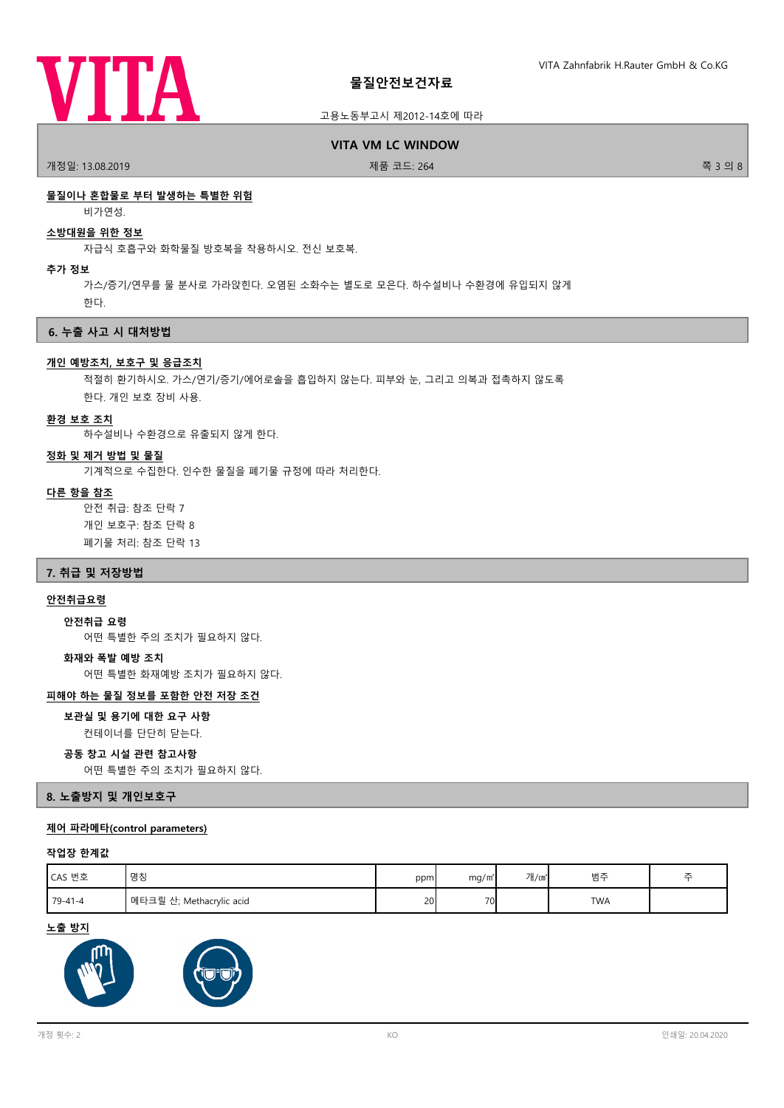

### 고용노동부고시 제2012-14호에 따라

**VITA VM LC WINDOW**

.<br>개정일: 13.08.2019 제품 코드: 264 전 2012 12:05:07 제품 코드: 264 전 3 의 8 원 3 의 8 원 3 의 8 원 3 의 8

### **물질이나 혼합물로 부터 발생하는 특별한 위험**

비가연성.

#### **소방대원을 위한 정보**

자급식 호흡구와 화학물질 방호복을 착용하시오. 전신 보호복.

**추가 정보**

가스/증기/연무를 물 분사로 가라앉힌다. 오염된 소화수는 별도로 모은다. 하수설비나 수환경에 유입되지 않게 한다.

**6. 누출 사고 시 대처방법**

#### **개인 예방조치, 보호구 및 응급조치**

적절히 환기하시오. 가스/연기/증기/에어로솔을 흡입하지 않는다. 피부와 눈, 그리고 의복과 접촉하지 않도록 한다. 개인 보호 장비 사용.

#### **환경 보호 조치**

하수설비나 수환경으로 유출되지 않게 한다.

#### **정화 및 제거 방법 및 물질**

기계적으로 수집한다. 인수한 물질을 폐기물 규정에 따라 처리한다.

#### **다른 항을 참조**

안전 취급: 참조 단락 7 개인 보호구: 참조 단락 8 폐기물 처리: 참조 단락 13

#### **7. 취급 및 저장방법**

### **안전취급요령**

어떤 특별한 주의 조치가 필요하지 않다. **안전취급 요령**

#### **화재와 폭발 예방 조치**

어떤 특별한 화재예방 조치가 필요하지 않다.

### **피해야 하는 물질 정보를 포함한 안전 저장 조건**

**보관실 및 용기에 대한 요구 사항**

컨테이너를 단단히 닫는다.

#### **공동 창고 시설 관련 참고사항**

어떤 특별한 주의 조치가 필요하지 않다.

**8. 노출방지 및 개인보호구**

#### **제어 파라메타(control parameters)**

#### **작업장 한계값**

| CAS 번호    | 명칭                         | ppm | mg/m <sup>3</sup> | 개/㎝ | 범주         |  |
|-----------|----------------------------|-----|-------------------|-----|------------|--|
| $79-41-4$ | 에 메타크릴 산; Methacrylic acid | 20  | 70 <sub>l</sub>   |     | <b>TWA</b> |  |

**노출 방지**



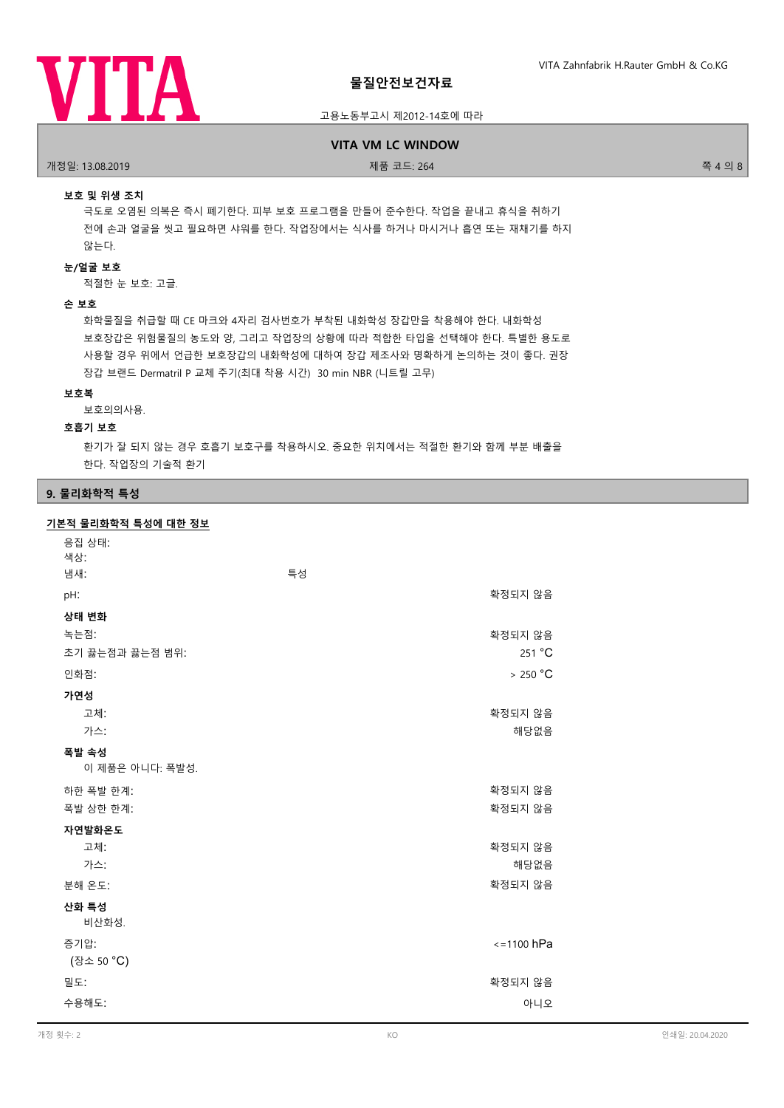

### 고용노동부고시 제2012-14호에 따라

#### **VITA VM LC WINDOW**

.<br>개정일: 13.08.2019 제품 프로그램을 제공하는 것은 제품 코드: 264 전 - 2018 제품 코드: 264 전 - 2018 개정일: 13.08.2019 - 주 4 의 8

### **보호 및 위생 조치**

극도로 오염된 의복은 즉시 폐기한다. 피부 보호 프로그램을 만들어 준수한다. 작업을 끝내고 휴식을 취하기 전에 손과 얼굴을 씻고 필요하면 샤워를 한다. 작업장에서는 식사를 하거나 마시거나 흡연 또는 재채기를 하지 않는다.

### **눈/얼굴 보호**

적절한 눈 보호: 고글.

#### **손 보호**

화학물질을 취급할 때 CE 마크와 4자리 검사번호가 부착된 내화학성 장갑만을 착용해야 한다. 내화학성 보호장갑은 위험물질의 농도와 양, 그리고 작업장의 상황에 따라 적합한 타입을 선택해야 한다. 특별한 용도로 사용할 경우 위에서 언급한 보호장갑의 내화학성에 대하여 장갑 제조사와 명확하게 논의하는 것이 좋다. 권장 장갑 브랜드 Dermatril P 교체 주기(최대 착용 시간) 30 min NBR (니트릴 고무)

#### **보호복**

보호의의사용.

### **호흡기 보호**

환기가 잘 되지 않는 경우 호흡기 보호구를 착용하시오. 중요한 위치에서는 적절한 환기와 함께 부분 배출을 한다. 작업장의 기술적 환기

#### **9. 물리화학적 특성**

#### **기본적 물리화학적 특성에 대한 정보**

| 응집 상태:<br>색상:            |    |                 |
|--------------------------|----|-----------------|
| 냄새:                      | 특성 |                 |
| pH:                      |    | 확정되지 않음         |
| 상태 변화                    |    |                 |
| 녹는점:                     |    | 확정되지 않음         |
| 초기 끓는점과 끓는점 범위:          |    | 251 °C          |
| 인화점:                     |    | > 250 °C        |
| 가연성                      |    |                 |
| 고체:                      |    | 확정되지 않음         |
| 가스:                      |    | 해당없음            |
| 폭발 속성<br>이 제품은 아니다: 폭발성. |    |                 |
| 하한 폭발 한계:                |    | 확정되지 않음         |
| 폭발 상한 한계:                |    | 확정되지 않음         |
| 자연발화온도                   |    |                 |
| 고체:                      |    | 확정되지 않음         |
| 가스:                      |    | 해당없음            |
| 분해 온도:                   |    | 확정되지 않음         |
| 산화 특성<br>비산화성.           |    |                 |
| 증기압:<br>(장소 50 °C)       |    | $\le$ =1100 hPa |
| 밀도:                      |    | 확정되지 않음         |
| 수용해도:                    |    | 아니오             |
|                          |    |                 |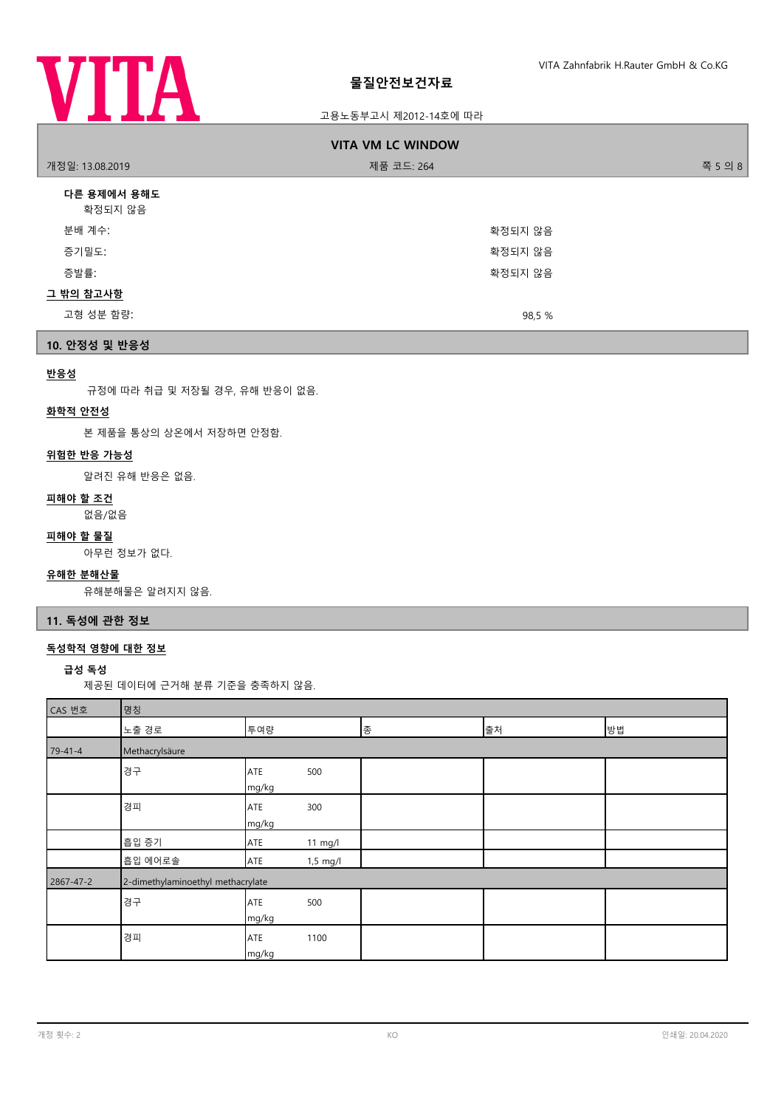

### 고용노동부고시 제2012-14호에 따라

|                        | <b>VITA VM LC WINDOW</b> |         |
|------------------------|--------------------------|---------|
| 개정일: 13.08.2019        | 제품 코드: 264               | 쪽 5 의 8 |
| 다른 용제에서 용해도<br>확정되지 않음 |                          |         |
| 분배 계수:                 | 확정되지 않음                  |         |
| 증기밀도:                  | 확정되지 않음                  |         |
| 증발률:                   | 확정되지 않음                  |         |
| <u>그 밖의 참고사항</u>       |                          |         |
| 고형 성분 함량:              | 98,5 %                   |         |

## **10. 안정성 및 반응성**

### **반응성**

규정에 따라 취급 및 저장될 경우, 유해 반응이 없음.

# **화학적 안전성**

본 제품을 통상의 상온에서 저장하면 안정함.

### **위험한 반응 가능성**

알려진 유해 반응은 없음.

### **피해야 할 조건**

없음/없음

#### **피해야 할 물질**

아무런 정보가 없다.

### **유해한 분해산물**

유해분해물은 알려지지 않음.

### **11. 독성에 관한 정보**

# **독성학적 영향에 대한 정보**

**급성 독성**

제공된 데이터에 근거해 분류 기준을 충족하지 않음.

| CAS 번호    | 명칭                                |                     |            |   |    |    |
|-----------|-----------------------------------|---------------------|------------|---|----|----|
|           | 노출 경로                             | 투여량                 |            | 종 | 출처 | 방법 |
| $79-41-4$ | Methacrylsäure                    |                     |            |   |    |    |
|           | 경구                                | <b>ATE</b><br>mg/kg | 500        |   |    |    |
|           | 경피                                | ATE<br>mg/kg        | 300        |   |    |    |
|           | 흡입 증기                             | ATE                 | 11 mg/l    |   |    |    |
|           | 흡입 에어로솔                           | ATE                 | $1,5$ mg/l |   |    |    |
| 2867-47-2 | 2-dimethylaminoethyl methacrylate |                     |            |   |    |    |
|           | 경구                                | <b>ATE</b><br>mg/kg | 500        |   |    |    |
|           | 경피                                | <b>ATE</b><br>mg/kg | 1100       |   |    |    |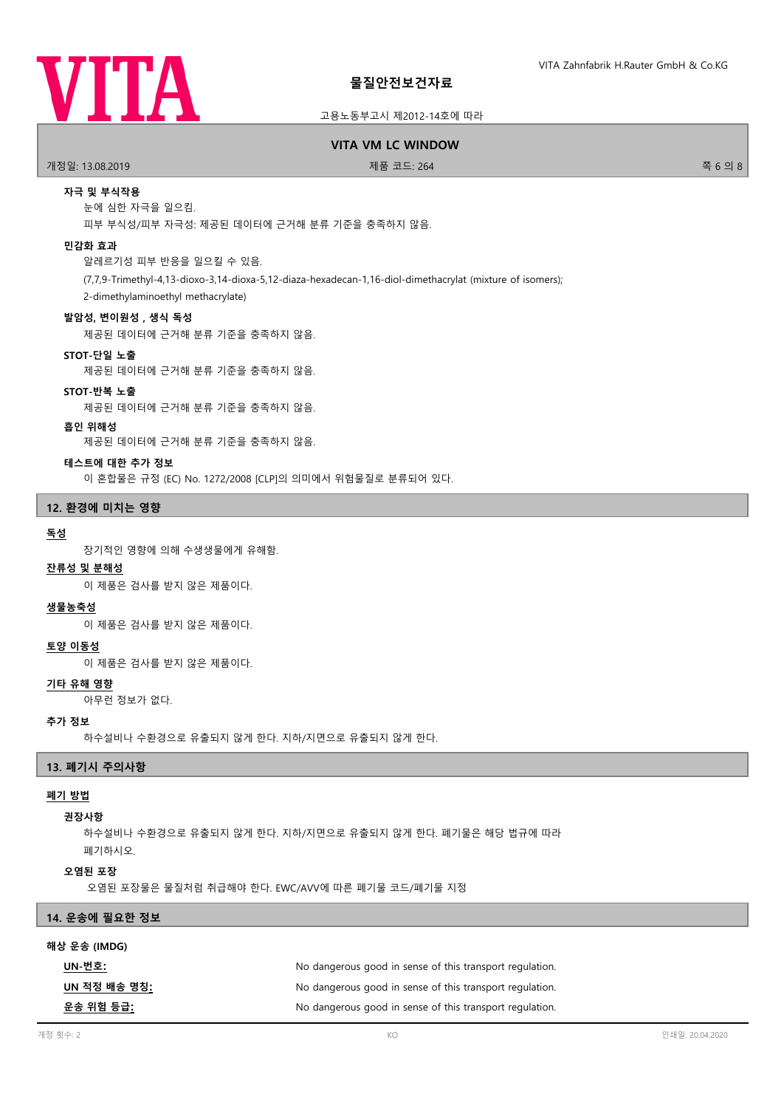

### 고용노동부고시 제2012-14호에 따라

#### **VITA VM LC WINDOW**

.<br>개정일: 13.08.2019 제품 프로그램을 제공하는 것이 제품 코드: 264 전 - 2018 제품 코드: 264 전 - 2018 제품 코드: 264 전 - 2018 제품 - 2018 제품 - 20

### **자극 및 부식작용**

눈에 심한 자극을 일으킴.

피부 부식성/피부 자극성: 제공된 데이터에 근거해 분류 기준을 충족하지 않음.

### **민감화 효과**

알레르기성 피부 반응을 일으킬 수 있음.

(7,7,9-Trimethyl-4,13-dioxo-3,14-dioxa-5,12-diaza-hexadecan-1,16-diol-dimethacrylat (mixture of isomers);

2-dimethylaminoethyl methacrylate)

#### **발암성, 변이원성 , 생식 독성**

제공된 데이터에 근거해 분류 기준을 충족하지 않음.

#### **STOT-단일 노출**

제공된 데이터에 근거해 분류 기준을 충족하지 않음.

#### **STOT-반복 노출**

제공된 데이터에 근거해 분류 기준을 충족하지 않음.

### **흡인 위해성**

제공된 데이터에 근거해 분류 기준을 충족하지 않음.

#### **테스트에 대한 추가 정보**

이 혼합물은 규정 (EC) No. 1272/2008 [CLP]의 의미에서 위험물질로 분류되어 있다.

### **12. 환경에 미치는 영향**

#### **독성**

장기적인 영향에 의해 수생생물에게 유해함.

#### **잔류성 및 분해성**

이 제품은 검사를 받지 않은 제품이다.

#### **생물농축성**

이 제품은 검사를 받지 않은 제품이다.

### **토양 이동성**

이 제품은 검사를 받지 않은 제품이다.

### **기타 유해 영향**

아무런 정보가 없다.

#### **추가 정보**

하수설비나 수환경으로 유출되지 않게 한다. 지하/지면으로 유출되지 않게 한다.

### **13. 폐기시 주의사항**

#### **폐기 방법**

#### **권장사항**

하수설비나 수환경으로 유출되지 않게 한다. 지하/지면으로 유출되지 않게 한다. 폐기물은 해당 법규에 따라 폐기하시오.

#### **오염된 포장**

오염된 포장물은 물질처럼 취급해야 한다. EWC/AVV에 따른 폐기물 코드/폐기물 지정

### **14. 운송에 필요한 정보**

#### **해상 운송 (IMDG)**

| UN-번호:               | No dangerous good in sense of this transport regulation. |
|----------------------|----------------------------------------------------------|
| UN 적정 배송 명칭 <u>:</u> | No dangerous good in sense of this transport regulation. |
| 운송 위험 등급:            | No dangerous good in sense of this transport regulation. |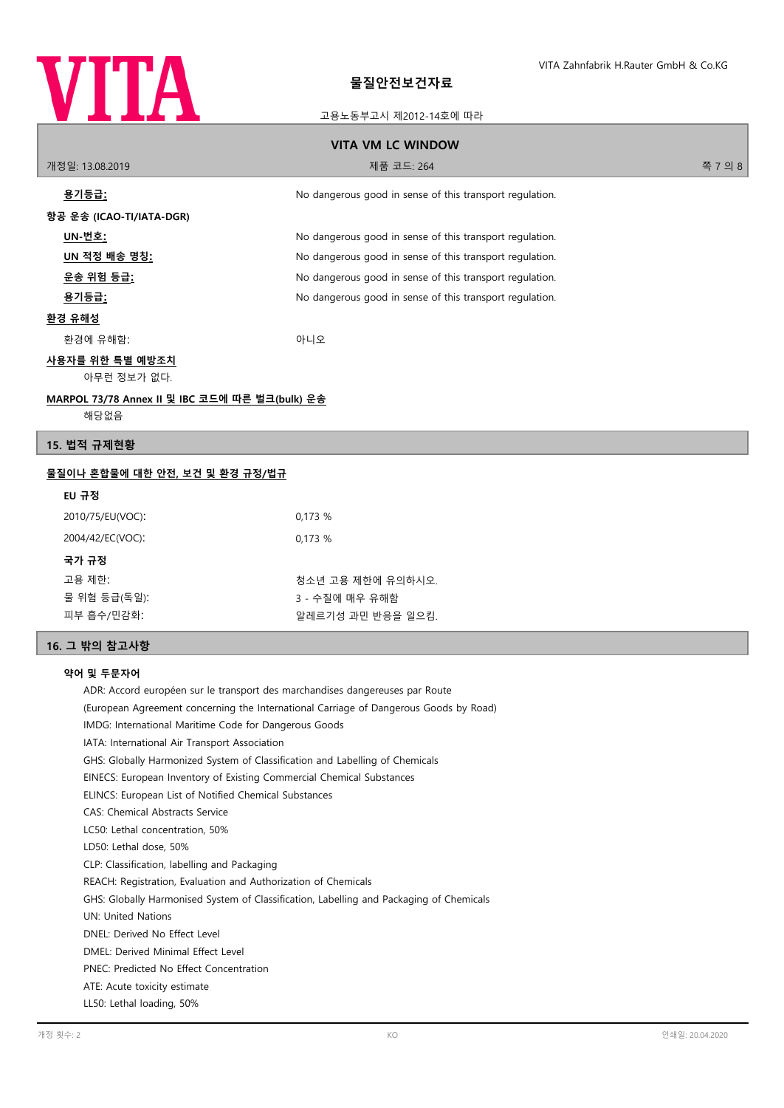

### 고용노동부고시 제2012-14호에 따라

| <b>VITA VM LC WINDOW</b>                               |                                                          |         |
|--------------------------------------------------------|----------------------------------------------------------|---------|
| 개정일: 13.08.2019                                        | 제품 코드: 264                                               | 쪽 7 의 8 |
| <u>용기등급:</u>                                           | No dangerous good in sense of this transport regulation. |         |
| 항공 운송 (ICAO-TI/IATA-DGR)                               |                                                          |         |
| UN-번호:                                                 | No dangerous good in sense of this transport regulation. |         |
| UN 적정 배송 명칭 <u>:</u>                                   | No dangerous good in sense of this transport regulation. |         |
| <u> 운송 위험 등급:</u>                                      | No dangerous good in sense of this transport regulation. |         |
| <u>용기등급:</u>                                           | No dangerous good in sense of this transport regulation. |         |
| 환경 유해성                                                 |                                                          |         |
| 환경에 유해함:                                               | 아니오                                                      |         |
| <u>사용자를 위한 특별 예방조치</u><br>아무런 정보가 없다.                  |                                                          |         |
| MARPOL 73/78 Annex II 및 IBC 코드에 따른 벌크(bulk) 운송<br>해당없음 |                                                          |         |
| 15. 법적 규제현황                                            |                                                          |         |

### **물질이나 혼합물에 대한 안전, 보건 및 환경 규정/법규**

| 0,173%            |
|-------------------|
| 0,173%            |
|                   |
| 청소년 고용 제한에 유의하시오. |
| 3 - 수질에 매우 유해함    |
| 알레르기성 과민 반응을 일으킴. |
|                   |

# **16. 그 밖의 참고사항**

### **약어 및 두문자어**

ADR: Accord européen sur le transport des marchandises dangereuses par Route (European Agreement concerning the International Carriage of Dangerous Goods by Road) IMDG: International Maritime Code for Dangerous Goods IATA: International Air Transport Association GHS: Globally Harmonized System of Classification and Labelling of Chemicals EINECS: European Inventory of Existing Commercial Chemical Substances ELINCS: European List of Notified Chemical Substances CAS: Chemical Abstracts Service LC50: Lethal concentration, 50% LD50: Lethal dose, 50% CLP: Classification, labelling and Packaging REACH: Registration, Evaluation and Authorization of Chemicals GHS: Globally Harmonised System of Classification, Labelling and Packaging of Chemicals UN: United Nations DNEL: Derived No Effect Level DMEL: Derived Minimal Effect Level PNEC: Predicted No Effect Concentration ATE: Acute toxicity estimate LL50: Lethal loading, 50%